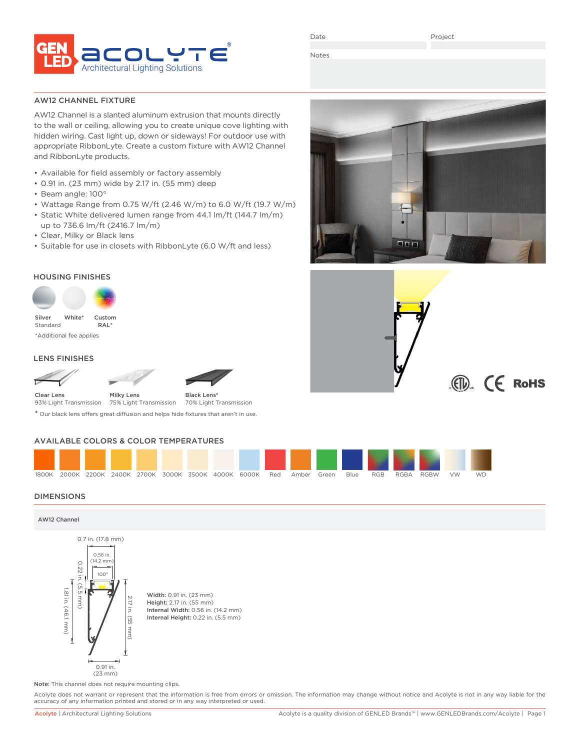

Date

Project

Notes

### AW12 CHANNEL FIXTURE

AW12 Channel is a slanted aluminum extrusion that mounts directly to the wall or ceiling, allowing you to create unique cove lighting with hidden wiring. Cast light up, down or sideways! For outdoor use with appropriate RibbonLyte. Create a custom fixture with AW12 Channel and RibbonLyte products.

- Available for field assembly or factory assembly
- 0.91 in. (23 mm) wide by 2.17 in. (55 mm) deep
- Beam angle: 100°
- Wattage Range from 0.75 W/ft (2.46 W/m) to 6.0 W/ft (19.7 W/m)
- Static White delivered lumen range from 44.1 lm/ft (144.7 lm/m) up to 736.6 lm/ft (2416.7 lm/m)
- Clear, Milky or Black lens
- Suitable for use in closets with RibbonLyte (6.0 W/ft and less)





\*Additional fee applies

# LENS FINISHES

Milky Lens 75% Light Transmission Black Lens**\*** 70% Light Transmission Clear Lens 93% Light Transmission \* Our black lens offers great diffusion and helps hide fixtures that aren't in use.

# AVAILABLE COLORS & COLOR TEMPERATURES



### **DIMENSIONS**

### AW12 Channel



Width: 0.91 in. (23 mm) Height: 2.17 in. (55 mm) Internal Width: 0.56 in. (14.2 mm) Internal Height: 0.22 in. (5.5 mm)

Note: This channel does not require mounting clips.

Acolyte does not warrant or represent that the information is free from errors or omission. The information may change without notice and Acolyte is not in any way liable for the accuracy of any information printed and stored or in any way interpreted or used.





 $\left(\bigcirc \right)_{\scriptscriptstyle \circ\circ\circ}$  ( $\left(\rightleftarrows$  RoHS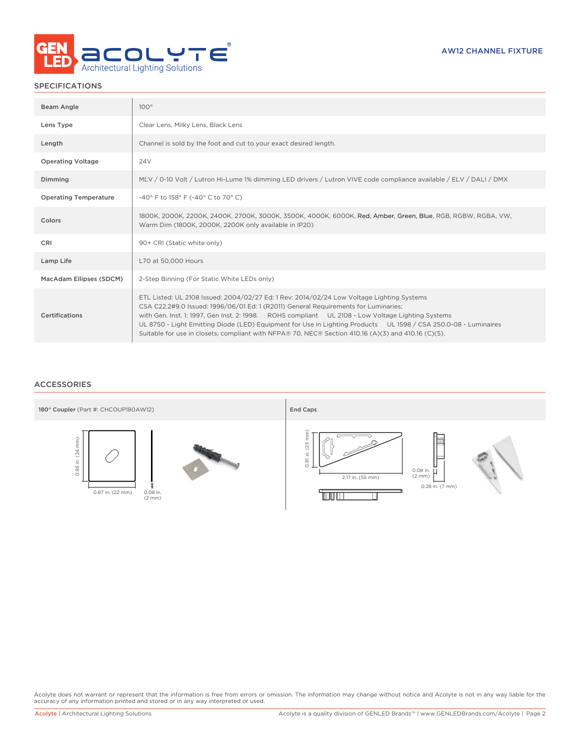

# SPECIFICATIONS

| Beam Angle                   | $100^\circ$                                                                                                                                                                                                                                                                                                                                                                                                                                                                                                     |
|------------------------------|-----------------------------------------------------------------------------------------------------------------------------------------------------------------------------------------------------------------------------------------------------------------------------------------------------------------------------------------------------------------------------------------------------------------------------------------------------------------------------------------------------------------|
| Lens Type                    | Clear Lens, Milky Lens, Black Lens                                                                                                                                                                                                                                                                                                                                                                                                                                                                              |
| Length                       | Channel is sold by the foot and cut to your exact desired length.                                                                                                                                                                                                                                                                                                                                                                                                                                               |
| <b>Operating Voltage</b>     | 24 <sub>V</sub>                                                                                                                                                                                                                                                                                                                                                                                                                                                                                                 |
| Dimming                      | MLV / 0-10 Volt / Lutron Hi-Lume 1% dimming LED drivers / Lutron VIVE code compliance available / ELV / DALI / DMX                                                                                                                                                                                                                                                                                                                                                                                              |
| <b>Operating Temperature</b> | -40° F to 158° F (-40° C to 70° C)                                                                                                                                                                                                                                                                                                                                                                                                                                                                              |
| Colors                       | 1800K, 2000K, 2200K, 2400K, 2700K, 3000K, 3500K, 4000K, 6000K, Red, Amber, Green, Blue, RGB, RGBW, RGBA, VW,<br>Warm Dim (1800K, 2000K, 2200K only available in IP20)                                                                                                                                                                                                                                                                                                                                           |
| <b>CRI</b>                   | 90+ CRI (Static white only)                                                                                                                                                                                                                                                                                                                                                                                                                                                                                     |
| Lamp Life                    | L70 at 50,000 Hours                                                                                                                                                                                                                                                                                                                                                                                                                                                                                             |
| MacAdam Ellipses (SDCM)      | 2-Step Binning (For Static White LEDs only)                                                                                                                                                                                                                                                                                                                                                                                                                                                                     |
| Certifications               | ETL Listed: UL 2108 Issued: 2004/02/27 Ed: 1 Rev: 2014/02/24 Low Voltage Lighting Systems<br>CSA C22.2#9.0 Issued: 1996/06/01 Ed: 1 (R2011) General Requirements for Luminaries;<br>with Gen. Inst. 1: 1997, Gen Inst. 2: 1998. ROHS compliant UL 2108 - Low Voltage Lighting Systems<br>UL 8750 - Light Emitting Diode (LED) Equipment for Use in Lighting Products UL 1598 / CSA 250.0-08 - Luminaires<br>Suitable for use in closets, compliant with NFPA® 70, NEC® Section 410.16 (A)(3) and 410.16 (C)(5). |

### ACCESSORIES



Acolyte does not warrant or represent that the information is free from errors or omission. The information may change without notice and Acolyte is not in any way liable for the<br>accuracy of any information printed and sto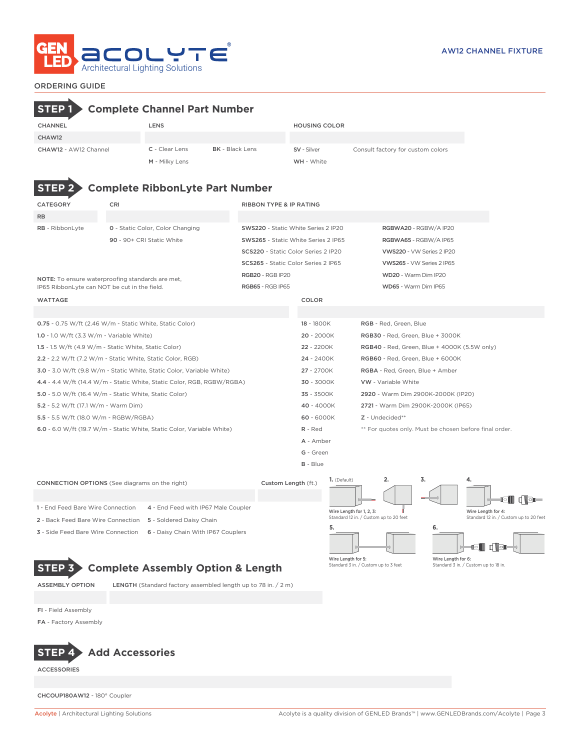

# ORDERING GUIDE

| <b>STEP</b>                                                |     | <b>Complete Channel Part Number</b>                                    |  |                                     |                           |                    |                                                                                                                                    |  |  |  |  |
|------------------------------------------------------------|-----|------------------------------------------------------------------------|--|-------------------------------------|---------------------------|--------------------|------------------------------------------------------------------------------------------------------------------------------------|--|--|--|--|
| <b>CHANNEL</b>                                             |     | LENS                                                                   |  |                                     | <b>HOUSING COLOR</b>      |                    |                                                                                                                                    |  |  |  |  |
| CHAW12                                                     |     |                                                                        |  |                                     |                           |                    |                                                                                                                                    |  |  |  |  |
| CHAW12 - AW12 Channel                                      |     | <b>BK</b> - Black Lens<br>C - Clear Lens<br>M - Milky Lens             |  |                                     | SV - Silver<br>WH - White |                    | Consult factory for custom colors                                                                                                  |  |  |  |  |
| <b>STEP</b>                                                |     | <b>Complete RibbonLyte Part Number</b>                                 |  |                                     |                           |                    |                                                                                                                                    |  |  |  |  |
| <b>CATEGORY</b>                                            | CRI |                                                                        |  | <b>RIBBON TYPE &amp; IP RATING</b>  |                           |                    |                                                                                                                                    |  |  |  |  |
| <b>RB</b>                                                  |     |                                                                        |  |                                     |                           |                    |                                                                                                                                    |  |  |  |  |
| RB - RibbonLyte                                            |     | <b>0</b> - Static Color, Color Changing                                |  | SWS220 - Static White Series 2 IP20 |                           |                    | RGBWA20 - RGBW/A IP20                                                                                                              |  |  |  |  |
|                                                            |     | 90 - 90+ CRI Static White                                              |  | SWS265 - Static White Series 2 IP65 |                           |                    | RGBWA65 - RGBW/A IP65                                                                                                              |  |  |  |  |
|                                                            |     |                                                                        |  | SCS220 - Static Color Series 2 IP20 |                           |                    | VWS220 - VW Series 2 IP20                                                                                                          |  |  |  |  |
|                                                            |     |                                                                        |  | SCS265 - Static Color Series 2 IP65 |                           |                    | VWS265 - VW Series 2 IP65                                                                                                          |  |  |  |  |
| NOTE: To ensure waterproofing standards are met,           |     |                                                                        |  | <b>RGB20 - RGB IP20</b>             |                           |                    | WD20 - Warm Dim IP20                                                                                                               |  |  |  |  |
| IP65 RibbonLyte can NOT be cut in the field.               |     |                                                                        |  | <b>RGB65 - RGB IP65</b>             |                           |                    | WD65 - Warm Dim IP65                                                                                                               |  |  |  |  |
| <b>WATTAGE</b>                                             |     |                                                                        |  |                                     | COLOR                     |                    |                                                                                                                                    |  |  |  |  |
|                                                            |     |                                                                        |  |                                     |                           |                    |                                                                                                                                    |  |  |  |  |
| 0.75 - 0.75 W/ft (2.46 W/m - Static White, Static Color)   |     |                                                                        |  |                                     | 18 - 1800K                |                    | RGB - Red, Green, Blue                                                                                                             |  |  |  |  |
| 1.0 - 1.0 W/ft $(3.3 W/m - Variable White)$                |     |                                                                        |  |                                     | 20 - 2000K                |                    | RGB30 - Red, Green, Blue + 3000K                                                                                                   |  |  |  |  |
| 1.5 - 1.5 W/ft (4.9 W/m - Static White, Static Color)      |     |                                                                        |  |                                     | 22 - 2200K                |                    | RGB40 - Red, Green, Blue + 4000K (5.5W only)                                                                                       |  |  |  |  |
| 2.2 - 2.2 W/ft (7.2 W/m - Static White, Static Color, RGB) |     |                                                                        |  |                                     | 24 - 2400K                |                    | RGB60 - Red, Green, Blue + 6000K                                                                                                   |  |  |  |  |
|                                                            |     | 3.0 - 3.0 W/ft (9.8 W/m - Static White, Static Color, Variable White)  |  |                                     | 27 - 2700K                |                    | RGBA - Red, Green, Blue + Amber                                                                                                    |  |  |  |  |
|                                                            |     | 4.4 - 4.4 W/ft (14.4 W/m - Static White, Static Color, RGB, RGBW/RGBA) |  |                                     | 30 - 3000K                |                    | VW - Variable White                                                                                                                |  |  |  |  |
| 5.0 - 5.0 W/ft (16.4 W/m - Static White, Static Color)     |     |                                                                        |  |                                     | 35 - 3500K                |                    | 2920 - Warm Dim 2900K-2000K (IP20)                                                                                                 |  |  |  |  |
| 5.2 - 5.2 W/ft (17.1 W/m - Warm Dim)                       |     |                                                                        |  |                                     | 40 - 4000K                |                    | 2721 - Warm Dim 2900K-2000K (IP65)                                                                                                 |  |  |  |  |
| 5.5 - 5.5 W/ft (18.0 W/m - RGBW/RGBA)                      |     |                                                                        |  |                                     | 60 - 6000K                |                    | Z - Undecided**                                                                                                                    |  |  |  |  |
|                                                            |     | 6.0 - 6.0 W/ft (19.7 W/m - Static White, Static Color, Variable White) |  |                                     | $R - Red$                 |                    | ** For quotes only. Must be chosen before final order.                                                                             |  |  |  |  |
|                                                            |     |                                                                        |  |                                     | A - Amber                 |                    |                                                                                                                                    |  |  |  |  |
|                                                            |     |                                                                        |  |                                     | G - Green                 |                    |                                                                                                                                    |  |  |  |  |
|                                                            |     |                                                                        |  |                                     | <b>B</b> - Blue           |                    |                                                                                                                                    |  |  |  |  |
| <b>CONNECTION OPTIONS</b> (See diagrams on the right)      |     |                                                                        |  |                                     | Custom Length (ft.)       | 1. (Default)       | 2.<br>3.<br>4.                                                                                                                     |  |  |  |  |
|                                                            |     |                                                                        |  |                                     |                           |                    |                                                                                                                                    |  |  |  |  |
|                                                            |     | 1 - End Feed Bare Wire Connection 4 - End Feed with IP67 Male Coupler  |  |                                     |                           |                    | Wire Length for 1, 2, 3:<br>Wire Length for 4:<br>Standard 12 in. / Custom up to 20 feet<br>Standard 12 in. / Custom up to 20 feet |  |  |  |  |
|                                                            |     | 2 - Back Feed Bare Wire Connection 5 - Soldered Daisy Chain            |  |                                     |                           | 5.                 | 6.                                                                                                                                 |  |  |  |  |
|                                                            |     | 3 - Side Feed Bare Wire Connection 6 - Daisy Chain With IP67 Couplers  |  |                                     |                           |                    | gin qism                                                                                                                           |  |  |  |  |
| <b>STEP</b>                                                |     | <b>Complete Assembly Option &amp; Length</b>                           |  |                                     |                           | Wire Length for 5: | Wire Length for 6:<br>Standard 3 in. / Custom up to 3 feet<br>Standard 3 in. / Custom up to 18 in.                                 |  |  |  |  |
| <b>ASSEMBLY OPTION</b>                                     |     | LENGTH (Standard factory assembled length up to 78 in. / 2 m)          |  |                                     |                           |                    |                                                                                                                                    |  |  |  |  |
| FI - Field Assembly                                        |     |                                                                        |  |                                     |                           |                    |                                                                                                                                    |  |  |  |  |
| FA - Factory Assembly                                      |     |                                                                        |  |                                     |                           |                    |                                                                                                                                    |  |  |  |  |
|                                                            |     |                                                                        |  |                                     |                           |                    |                                                                                                                                    |  |  |  |  |



ACCESSORIES

CHCOUP180AW12 - 180° Coupler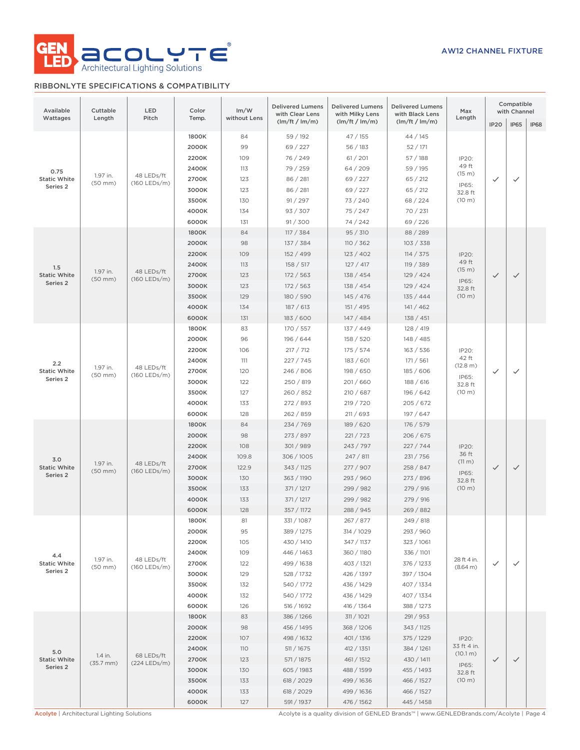

# RIBBONLYTE SPECIFICATIONS & COMPATIBILITY

| Available<br>Wattages                              | Cuttable<br>Length               | LED<br>Pitch               | Color<br>Temp.                                                                | Im/W<br>without Lens                                          | <b>Delivered Lumens</b><br>with Clear Lens                                                                                 | <b>Delivered Lumens</b><br>with Milky Lens                                                                                 | <b>Delivered Lumens</b><br>with Black Lens                                                                                | Max<br>Length                                                  |              | Compatible<br>with Channel |             |
|----------------------------------------------------|----------------------------------|----------------------------|-------------------------------------------------------------------------------|---------------------------------------------------------------|----------------------------------------------------------------------------------------------------------------------------|----------------------------------------------------------------------------------------------------------------------------|---------------------------------------------------------------------------------------------------------------------------|----------------------------------------------------------------|--------------|----------------------------|-------------|
|                                                    |                                  |                            |                                                                               |                                                               | (lm/ft / lm/m)                                                                                                             | (lm/ft / lm/m)                                                                                                             | (lm/ft / lm/m)                                                                                                            |                                                                | <b>IP20</b>  | <b>IP65</b>                | <b>IP68</b> |
| 0.75<br><b>Static White</b><br>Series <sub>2</sub> | 1.97 in.<br>$(50$ mm $)$         | 48 LEDs/ft<br>(160 LEDs/m) | 1800K<br>2000K<br>2200K<br>2400K<br>2700K<br>3000K<br>3500K<br>4000K<br>6000K | 84<br>99<br>109<br>113<br>123<br>123<br>130<br>134<br>131     | 59 / 192<br>69 / 227<br>76 / 249<br>79 / 259<br>86 / 281<br>86 / 281<br>91 / 297<br>93 / 307<br>91 / 300                   | 47/155<br>56/183<br>61 / 201<br>64/209<br>69 / 227<br>69 / 227<br>73 / 240<br>75 / 247<br>74 / 242                         | 44 / 145<br>52/171<br>57 / 188<br>59 / 195<br>65 / 212<br>65 / 212<br>68 / 224<br>70 / 231<br>69 / 226                    | IP20:<br>49 ft<br>(15 m)<br>IP65:<br>32.8 ft<br>(10 m)         | $\checkmark$ | $\checkmark$               |             |
| 1.5<br><b>Static White</b><br>Series <sub>2</sub>  | 1.97 in.<br>$(50$ mm $)$         | 48 LEDs/ft<br>(160 LEDs/m) | 1800K<br>2000K<br>2200K<br>2400K<br>2700K<br>3000K<br>3500K<br>4000K<br>6000K | 84<br>98<br>109<br>113<br>123<br>123<br>129<br>134<br>131     | 117 / 384<br>137 / 384<br>152 / 499<br>158 / 517<br>172 / 563<br>172 / 563<br>180 / 590<br>187/613<br>183 / 600            | 95 / 310<br>110 / 362<br>123 / 402<br>127 / 417<br>138 / 454<br>138 / 454<br>145/476<br>151 / 495<br>147/484               | 88 / 289<br>103 / 338<br>114 / 375<br>119 / 389<br>129/424<br>129 / 424<br>135 / 444<br>141/462<br>138 / 451              | IP20:<br>49 ft<br>(15 m)<br>IP65:<br>32.8 ft<br>(10 m)         | ✓            | $\checkmark$               |             |
| 2.2<br><b>Static White</b><br>Series <sub>2</sub>  | 1.97 in.<br>$(50$ mm $)$         | 48 LEDs/ft<br>(160 LEDs/m) | 1800K<br>2000K<br>2200K<br>2400K<br>2700K<br>3000K<br>3500K<br>4000K<br>6000K | 83<br>96<br>106<br>111<br>120<br>122<br>127<br>133<br>128     | 170 / 557<br>196 / 644<br>217 / 712<br>227/745<br>246 / 806<br>250 / 819<br>260 / 852<br>272/893<br>262 / 859              | 137 / 449<br>158 / 520<br>175/574<br>183/601<br>198 / 650<br>201/660<br>210 / 687<br>219 / 720<br>211/693                  | 128 / 419<br>148 / 485<br>163 / 536<br>171 / 561<br>185 / 606<br>188 / 616<br>196 / 642<br>205/672<br>197 / 647           | IP20:<br>42 ft<br>(12.8 m)<br>IP65:<br>32.8 ft<br>(10 m)       | $\checkmark$ | $\checkmark$               |             |
| 3.0<br><b>Static White</b><br>Series <sub>2</sub>  | 1.97 in.<br>$(50$ mm $)$         | 48 LEDs/ft<br>(160 LEDs/m) | 1800K<br>2000K<br>2200K<br>2400K<br>2700K<br>3000K<br>3500K<br>4000K<br>6000K | 84<br>98<br>108<br>109.8<br>122.9<br>130<br>133<br>133<br>128 | 234 / 769<br>273 / 897<br>301/989<br>306 / 1005<br>343 / 1125<br>363 / 1190<br>371 / 1217<br>371 / 1217<br>357 / 1172      | 189 / 620<br>221/723<br>243 / 797<br>247/811<br>277 / 907<br>293 / 960<br>299 / 982<br>299 / 982<br>288 / 945              | 176 / 579<br>206 / 675<br>227/744<br>231/756<br>258 / 847<br>273 / 896<br>279 / 916<br>279 / 916<br>269 / 882             | IP20:<br>36 ft<br>(11 m)<br>IP65:<br>32.8 ft<br>(10 m)         | $\checkmark$ | $\checkmark$               |             |
| 4.4<br><b>Static White</b><br>Series 2             | 1.97 in.<br>$(50$ mm $)$         | 48 LEDs/ft<br>(160 LEDs/m) | 1800K<br>2000K<br>2200K<br>2400K<br>2700K<br>3000K<br>3500K<br>4000K<br>6000K | 81<br>95<br>105<br>109<br>122<br>129<br>132<br>132<br>126     | 331/1087<br>389 / 1275<br>430 / 1410<br>446 / 1463<br>499 / 1638<br>528 / 1732<br>540 / 1772<br>540 / 1772<br>516 / 1692   | 267 / 877<br>314 / 1029<br>347 / 1137<br>360 / 1180<br>403 / 1321<br>426 / 1397<br>436 / 1429<br>436 / 1429<br>416 / 1364  | 249 / 818<br>293 / 960<br>323 / 1061<br>336 / 1101<br>376 / 1233<br>397 / 1304<br>407 / 1334<br>407 / 1334<br>388 / 1273  | 28 ft 4 in.<br>(8.64 m)                                        | ✓            | $\checkmark$               |             |
| 5.0<br><b>Static White</b><br>Series 2             | 1.4 in.<br>$(35.7 \, \text{mm})$ | 68 LEDs/ft<br>(224 LEDs/m) | 1800K<br>2000K<br>2200K<br>2400K<br>2700K<br>3000K<br>3500K<br>4000K<br>6000K | 83<br>98<br>107<br>110<br>123<br>130<br>133<br>133<br>127     | 386 / 1266<br>456 / 1495<br>498 / 1632<br>511 / 1675<br>571 / 1875<br>605 / 1983<br>618 / 2029<br>618 / 2029<br>591 / 1937 | 311 / 1021<br>368 / 1206<br>401 / 1316<br>412 / 1351<br>461 / 1512<br>488 / 1599<br>499 / 1636<br>499 / 1636<br>476 / 1562 | 291 / 953<br>343 / 1125<br>375 / 1229<br>384 / 1261<br>430 / 1411<br>455 / 1493<br>466 / 1527<br>466 / 1527<br>445 / 1458 | IP20:<br>33 ft 4 in.<br>(10.1 m)<br>IP65:<br>32.8 ft<br>(10 m) | ✓            | $\checkmark$               |             |

Acolyte | Architectural Lighting Solutions **Acolyte is a quality division of GENLED Brands™** | www.GENLEDBrands.com/Acolyte | Page 4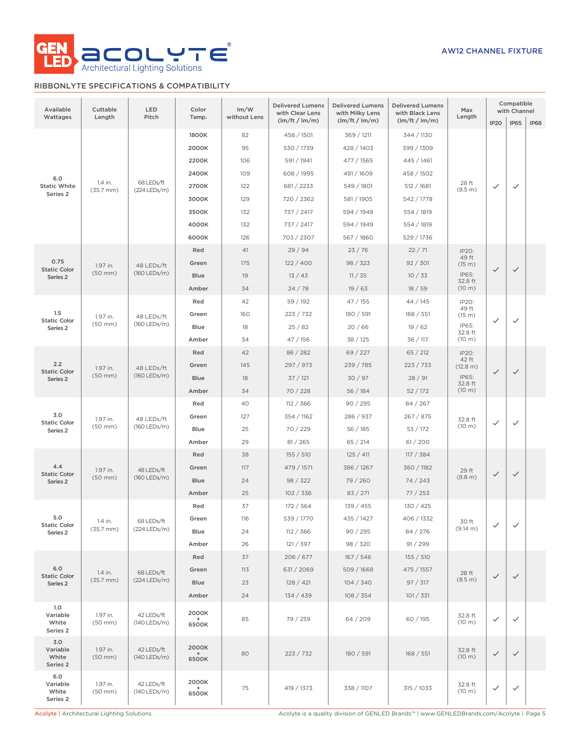

# RIBBONLYTE SPECIFICATIONS & COMPATIBILITY

| Available<br>Wattages                             | Cuttable<br>Length               | LED<br>Pitch                 | Color<br>Temp.                                     | Im/W<br>without Lens                 | <b>Delivered Lumens</b><br>with Clear Lens<br>$\frac{1}{m}$ (lm/ft / lm/m)       | <b>Delivered Lumens</b><br>with Milky Lens<br>(lm/ft / lm/m)                     | <b>Delivered Lumens</b><br>with Black Lens<br>$\frac{1}{m}$ (lm/ft / lm/m)       | Max<br>Length                                            | IP <sub>20</sub> | Compatible<br>with Channel<br><b>IP65</b><br><b>IP68</b> |  |
|---------------------------------------------------|----------------------------------|------------------------------|----------------------------------------------------|--------------------------------------|----------------------------------------------------------------------------------|----------------------------------------------------------------------------------|----------------------------------------------------------------------------------|----------------------------------------------------------|------------------|----------------------------------------------------------|--|
| 6.0<br><b>Static White</b><br>Series <sub>2</sub> | 1.4 in.<br>$(35.7$ mm $)$        | 68 LEDs/ft<br>(224 LEDs/m)   | 1800K<br>2000K<br>2200K<br>2400K<br>2700K<br>3000K | 82<br>95<br>106<br>109<br>122<br>129 | 458 / 1501<br>530 / 1739<br>591 / 1941<br>608 / 1995<br>681 / 2233<br>720 / 2362 | 369 / 1211<br>428 / 1403<br>477 / 1565<br>491 / 1609<br>549 / 1801<br>581 / 1905 | 344 / 1130<br>399 / 1309<br>445 / 1461<br>458 / 1502<br>512 / 1681<br>542 / 1778 | 28 ft<br>(8.5 m)                                         | $\checkmark$     | $\checkmark$                                             |  |
|                                                   |                                  |                              | 3500K<br>4000K<br>6000K<br>Red                     | 132<br>132<br>126<br>41              | 737 / 2417<br>737 / 2417<br>703 / 2307<br>29/94                                  | 594 / 1949<br>594 / 1949<br>567 / 1860<br>23/76                                  | 554 / 1819<br>554 / 1819<br>529 / 1736<br>22/71                                  |                                                          |                  |                                                          |  |
| 0.75<br><b>Static Color</b><br>Series 2           | 1.97 in.<br>$(50$ mm $)$         | 48 LEDs/ft<br>(160 LEDs/m)   | Green<br><b>Blue</b><br>Amber                      | 175<br>19<br>34                      | 122/400<br>13/43<br>24/78                                                        | 98 / 323<br>11 / 35<br>19/63                                                     | 92 / 301<br>10/33<br>18/59                                                       | IP20:<br>49 ft<br>(15 m)<br>IP65:<br>32.8 ft<br>(10 m)   | $\checkmark$     | $\checkmark$                                             |  |
| 1.5<br><b>Static Color</b><br>Series <sub>2</sub> | 1.97 in.<br>$(50$ mm $)$         | 48 LEDs/ft<br>$(160$ LEDs/m) | Red<br>Green<br>Blue<br>Amber                      | 42<br>160<br>18<br>34                | 59 / 192<br>223 / 732<br>25/82<br>47/156                                         | 47 / 155<br>180 / 591<br>20/66<br>38 / 125                                       | 44/145<br>168 / 551<br>19/62<br>36 / 117                                         | IP20:<br>49 ft<br>(15 m)<br>IP65:<br>32.8 ft<br>(10 m)   | $\checkmark$     | $\checkmark$                                             |  |
| 2.2<br><b>Static Color</b><br>Series 2            | 1.97 in.<br>$(50$ mm $)$         | 48 LEDs/ft<br>(160 LEDs/m)   | Red<br>Green<br><b>Blue</b><br>Amber               | 42<br>145<br>18<br>34                | 86 / 282<br>297 / 973<br>37/121<br>70/228                                        | 69/227<br>239 / 785<br>30/97<br>56/184                                           | 65 / 212<br>223 / 733<br>28/91<br>52/172                                         | IP20:<br>42 ft<br>(12.8 m)<br>IP65:<br>32.8 ft<br>(10 m) | $\checkmark$     | $\checkmark$                                             |  |
| 3.0<br><b>Static Color</b><br>Series <sub>2</sub> | 1.97 in.<br>$(50$ mm $)$         | 48 LEDs/ft<br>$(160$ LEDs/m) | Red<br>Green<br>Blue<br>Amber                      | 40<br>127<br>25<br>29                | 112 / 366<br>354 / 1162<br>70 / 229<br>81 / 265                                  | 90 / 295<br>286 / 937<br>56/185<br>65 / 214                                      | 84 / 267<br>267 / 875<br>53/172<br>61/200                                        | 32.8 ft<br>(10 m)                                        | $\checkmark$     | $\checkmark$                                             |  |
| 4.4<br><b>Static Color</b><br>Series 2            | 1.97 in.<br>$(50$ mm $)$         | 48 LEDs/ft<br>$(160$ LEDs/m) | Red<br>Green<br><b>Blue</b><br>Amber               | 38<br>117<br>24<br>25                | 155 / 510<br>479 / 1571<br>98 / 322<br>102 / 336                                 | 125/411<br>386 / 1267<br>79 / 260<br>83 / 271                                    | 117 / 384<br>360 / 1182<br>74/243<br>77/253                                      | 29 ft<br>(8.8 m)                                         | $\checkmark$     | $\checkmark$                                             |  |
| 5.0<br><b>Static Color</b><br>Series 2            | 1.4 in.<br>$(35.7 \, \text{mm})$ | 68 LEDs/ft<br>(224 LEDs/m)   | Red<br>Green<br>Blue<br>Amber                      | 37<br>116<br>24<br>26                | 172/564<br>539 / 1770<br>112 / 366<br>121 / 397                                  | 139 / 455<br>435 / 1427<br>90 / 295<br>98 / 320                                  | 130 / 425<br>406 / 1332<br>84 / 276<br>91 / 299                                  | 30 ft<br>(9.14 m)                                        | ✓                | $\checkmark$                                             |  |
| 6.0<br><b>Static Color</b><br>Series 2            | 1.4 in.<br>$(35.7 \, \text{mm})$ | 68 LEDs/ft<br>(224 LEDs/m)   | Red<br>Green<br><b>Blue</b><br>Amber               | 37<br>113<br>23<br>24                | 206/677<br>631/2069<br>128 / 421<br>134 / 439                                    | 167 / 546<br>509/1668<br>104 / 340<br>108 / 354                                  | 155 / 510<br>475 / 1557<br>97 / 317<br>101 / 331                                 | 28 ft<br>(8.5 m)                                         | $\checkmark$     | $\checkmark$                                             |  |
| 1.0<br>Variable<br>White<br>Series 2              | 1.97 in.<br>$(50$ mm $)$         | 42 LEDs/ft<br>$(140$ LEDs/m) | 2000K<br>6500K                                     | 85                                   | 79 / 259                                                                         | 64 / 209                                                                         | 60/195                                                                           | 32.8 ft<br>(10 m)                                        | $\checkmark$     | $\checkmark$                                             |  |
| 3.0<br>Variable<br>White<br>Series 2              | 1.97 in.<br>$(50$ mm $)$         | 42 LEDs/ft<br>(140 LEDs/m)   | 2000K<br>6500K                                     | 80                                   | 223 / 732                                                                        | 180 / 591                                                                        | 168 / 551                                                                        | 32.8 ft<br>(10 m)                                        | $\checkmark$     | $\checkmark$                                             |  |
| 6.0<br>Variable<br>White<br>Series 2              | 1.97 in.<br>$(50$ mm $)$         | 42 LEDs/ft<br>(140 LEDs/m)   | 2000K<br>6500K                                     | 75                                   | 419 / 1373                                                                       | 338 / 1107                                                                       | 315 / 1033                                                                       | 32.8 ft<br>(10 m)                                        | $\checkmark$     | $\checkmark$                                             |  |

Acolyte | Architectural Lighting Solutions Acolyte is a quality division of GENLED Brands™ | www.GENLEDBrands.com/Acolyte | Page 5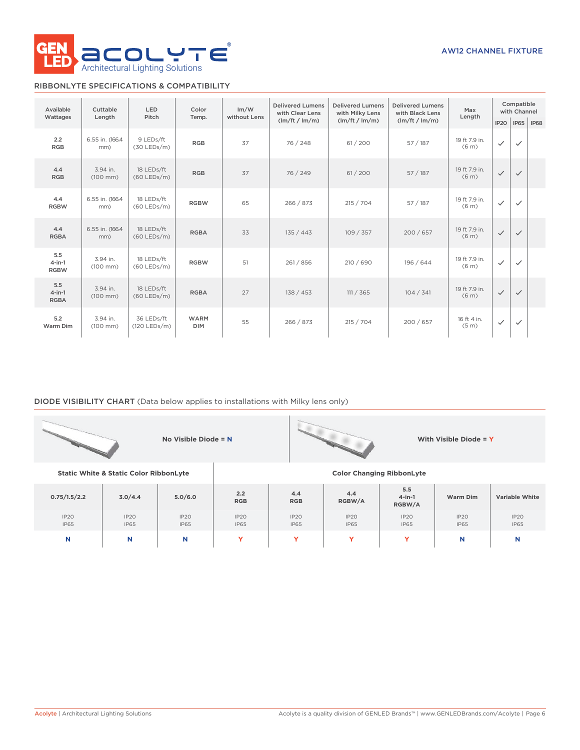

# RIBBONLYTE SPECIFICATIONS & COMPATIBILITY

| Available                       | Cuttable                         | LED                         | Color                     | Im/W         | <b>Delivered Lumens</b><br>with Clear Lens | <b>Delivered Lumens</b><br>with Milky Lens | <b>Delivered Lumens</b><br>with Black Lens | Max                                | Compatible<br>with Channel |              |             |
|---------------------------------|----------------------------------|-----------------------------|---------------------------|--------------|--------------------------------------------|--------------------------------------------|--------------------------------------------|------------------------------------|----------------------------|--------------|-------------|
| Wattages                        | Length                           | Pitch                       | Temp.                     | without Lens | (lm/ft / lm/m)                             | (lm/ft / lm/m)                             | (lm/ft / lm/m)                             | Length                             | IP <sub>20</sub>           | <b>IP65</b>  | <b>IP68</b> |
| 2.2<br><b>RGB</b>               | 6.55 in. (166.4)<br>mm)          | 9 LEDs/ft<br>$(30$ LEDs/m)  | <b>RGB</b>                | 37           | 76 / 248                                   | 61 / 200                                   | 57 / 187                                   | 19 ft 7.9 in.<br>(6 <sub>m</sub> ) | $\checkmark$               | $\checkmark$ |             |
| 4.4<br><b>RGB</b>               | 3.94 in.<br>$(100 \, \text{mm})$ | 18 LEDs/ft<br>$(60$ LEDs/m) | <b>RGB</b>                | 37           | 76 / 249                                   | 61 / 200                                   | 57/187                                     | 19 ft 7.9 in.<br>(6 <sub>m</sub> ) | $\checkmark$               | $\checkmark$ |             |
| 4.4<br><b>RGBW</b>              | 6.55 in. (166.4)<br>mm)          | 18 LEDs/ft<br>$(60$ LEDs/m) | <b>RGBW</b>               | 65           | 266 / 873                                  | 215 / 704                                  | 57 / 187                                   | 19 ft 7.9 in.<br>(6 <sub>m</sub> ) | $\checkmark$               | $\checkmark$ |             |
| 4.4<br><b>RGBA</b>              | 6.55 in. (166.4)<br>mm)          | 18 LEDs/ft<br>$(60$ LEDs/m) | <b>RGBA</b>               | 33           | 135 / 443                                  | 109 / 357                                  | 200 / 657                                  | 19 ft 7.9 in.<br>(6 <sub>m</sub> ) | $\checkmark$               | $\checkmark$ |             |
| 5.5<br>$4$ -in-1<br><b>RGBW</b> | 3.94 in.<br>$(100 \, \text{mm})$ | 18 LEDs/ft<br>$(60$ LEDs/m) | <b>RGBW</b>               | 51           | 261 / 856                                  | 210 / 690                                  | 196 / 644                                  | 19 ft 7.9 in.<br>(6 <sub>m</sub> ) | $\checkmark$               | $\checkmark$ |             |
| 5.5<br>$4$ -in-1<br><b>RGBA</b> | 3.94 in.<br>$(100 \, \text{mm})$ | 18 LEDs/ft<br>$(60$ LEDs/m) | <b>RGBA</b>               | 27           | 138 / 453                                  | 111 / 365                                  | 104 / 341                                  | 19 ft 7.9 in.<br>(6 <sub>m</sub> ) | $\checkmark$               | $\checkmark$ |             |
| 5.2<br>Warm Dim                 | 3.94 in.<br>$(100 \, \text{mm})$ | 36 LEDs/ft<br>(120 LEDs/m)  | <b>WARM</b><br><b>DIM</b> | 55           | 266 / 873                                  | 215 / 704                                  | 200 / 657                                  | 16 ft 4 in.<br>(5 <sub>m</sub> )   | $\checkmark$               | $\checkmark$ |             |

# DIODE VISIBILITY CHART (Data below applies to installations with Milky lens only)

|                     |                                                   | No Visible Diode = N |                     |                     |                     |                                  | With Visible Diode = Y |                       |
|---------------------|---------------------------------------------------|----------------------|---------------------|---------------------|---------------------|----------------------------------|------------------------|-----------------------|
|                     | <b>Static White &amp; Static Color RibbonLyte</b> |                      |                     |                     |                     | <b>Color Changing RibbonLyte</b> |                        |                       |
| 0.75/1.5/2.2        | 3.0/4.4                                           | 5.0/6.0              | 2.2<br><b>RGB</b>   | 4.4<br><b>RGB</b>   | 4.4<br>RGBW/A       | 5.5<br>$4 - in - 1$<br>RGBW/A    | Warm Dim               | <b>Variable White</b> |
| IP20<br><b>IP65</b> | IP20<br><b>IP65</b>                               | IP20<br><b>IP65</b>  | IP20<br><b>IP65</b> | IP20<br><b>IP65</b> | IP20<br><b>IP65</b> | IP2O<br><b>IP65</b>              | IP20<br><b>IP65</b>    | IP20<br><b>IP65</b>   |
| N                   | N                                                 | N                    | Y                   | Y                   | Y                   | Y                                | N                      | N                     |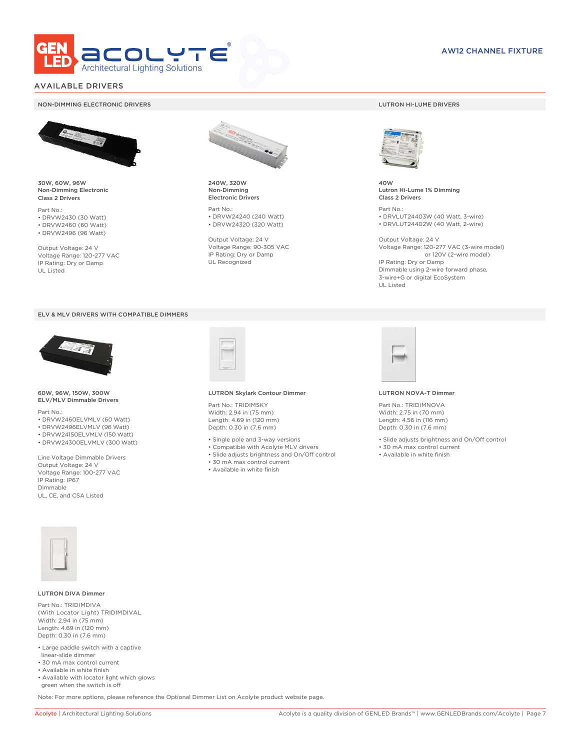

# AVAILABLE DRIVERS

### NON-DIMMING ELECTRONIC DRIVERS LUTRON HI-LUME DRIVERS



30W, 60W, 96W Non-Dimming Electronic Class 2 Drivers

Part No.: • DRVW2430 (30 Watt) • DRVW2460 (60 Watt)

• DRVW2496 (96 Watt)

Output Voltage: 24 V Voltage Range: 120-277 VAC IP Rating: Dry or Damp UL Listed





60W, 96W, 150W, 300W ELV/MLV Dimmable Drivers

Part No.:

- DRVW2460ELVMLV (60 Watt)
- DRVW2496ELVMLV (96 Watt)
- DRVW24150ELVMLV (150 Watt)
- DRVW24300ELVMLV (300 Watt)

Line Voltage Dimmable Drivers Output Voltage: 24 V Voltage Range: 100-277 VAC IP Rating: IP67 Dimmable UL, CE, and CSA Listed



240W, 320W Non-Dimming Electronic Drivers

Part No.: • DRVW24240 (240 Watt) • DRVW24320 (320 Watt)

Output Voltage: 24 V Voltage Range: 90-305 VAC IP Rating: Dry or Damp UL Recognized



40W Lutron Hi-Lume 1% Dimming Class 2 Drivers

Part No.: • DRVLUT24403W (40 Watt, 3-wire) • DRVLUT24402W (40 Watt, 2-wire)

Output Voltage: 24 V Voltage Range: 120-277 VAC (3-wire model) or 120V (2-wire model) IP Rating: Dry or Damp Dimmable using 2-wire forward phase, 3-wire+G or digital EcoSystem UL Listed



### LUTRON Skylark Contour Dimmer

Part No.: TRIDIMSKY Width: 2.94 in (75 mm) Length: 4.69 in (120 mm) Depth: 0.30 in (7.6 mm)

- Single pole and 3-way versions
- Compatible with Acolyte MLV drivers
- Slide adjusts brightness and On/Off control
- 30 mA max control current
- Available in white finish



### LUTRON NOVA-T Dimmer

Part No.: TRIDIMNOVA Width: 2.75 in (70 mm) Length: 4.56 in (116 mm) Depth: 0.30 in (7.6 mm)

- Slide adjusts brightness and On/Off control
- 30 mA max control current
- Available in white finish



### LUTRON DIVA Dimmer

Part No.: TRIDIMDIVA (With Locator Light) TRIDIMDIVAL Width: 2.94 in (75 mm) Length: 4.69 in (120 mm) Depth: 0.30 in (7.6 mm)

- Large paddle switch with a captive linear-slide dimmer
- 30 mA max control current
- Available in white finish
- Available with locator light which glows green when the switch is off

Note: For more options, please reference the Optional Dimmer List on Acolyte product website page.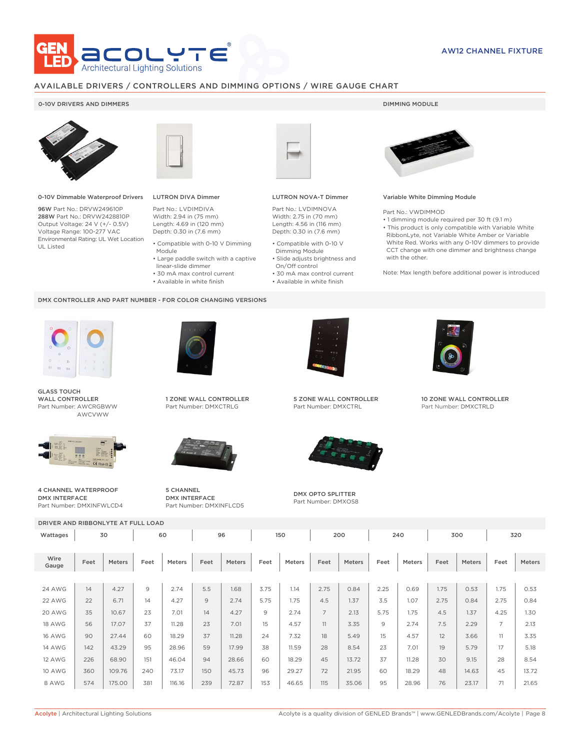

## AVAILABLE DRIVERS / CONTROLLERS AND DIMMING OPTIONS / WIRE GAUGE CHART

### 0-10V DRIVERS AND DIMMERS **DIMMING MODULE**



0-10V Dimmable Waterproof Drivers

96W Part No.: DRVW249610P 288W Part No.: DRVW2428810P Output Voltage: 24 V (+/- 0.5V) Voltage Range: 100-277 VAC Environmental Rating: UL Wet Location UL Listed



# LUTRON DIVA Dimmer

Part No.: LVDIMDIVA Width: 2.94 in (75 mm) Length: 4.69 in (120 mm) Depth: 0.30 in (7.6 mm)

- Compatible with 0-10 V Dimming Module
- Large paddle switch with a captive
- linear-slide dimmer
- 30 mA max control current
- Available in white finish

### DMX CONTROLLER AND PART NUMBER - FOR COLOR CHANGING VERSIONS



GLASS TOUCH WALL CONTROLLER Part Number: AWCRGBWW AWCVWW



4 CHANNEL WATERPROOF DMX INTERFACE Part Number: DMXINFWLCD4



1 ZONE WALL CONTROLLER Part Number: DMXCTRLG



5 CHANNEL DMX INTERFACE Part Number: DMXINFLCD5



### LUTRON NOVA-T Dimmer

Part No.: LVDIMNOVA Width: 2.75 in (70 mm) Length: 4.56 in (116 mm) Depth: 0.30 in (7.6 mm)

- Compatible with 0-10 V Dimming Module
- Slide adjusts brightness and On/Off control
- 30 mA max control current • Available in white finish
- Variable White Dimming Module

Part No.: VWDIMMOD

- 1 dimming module required per 30 ft (9.1 m)
- This product is only compatible with Variable White RibbonLyte, not Variable White Amber or Variable White Red. Works with any 0-10V dimmers to provide CCT change with one dimmer and brightness change with the other.

Note: Max length before additional power is introduced



5 ZONE WALL CONTROLLER Part Number: DMXCTRL



DMX OPTO SPLITTER Part Number: DMXOS8



10 ZONE WALL CONTROLLER Part Number: DMXCTRLD

| DRIVER AND RIBBONLYTE AT FULL LOAD |          |        |      |        |      |        |      |        |                |        |      |        |      |        |                |        |
|------------------------------------|----------|--------|------|--------|------|--------|------|--------|----------------|--------|------|--------|------|--------|----------------|--------|
| Wattages                           | 60<br>30 |        |      |        | 96   |        | 150  |        | 200            |        | 240  | 300    |      | 320    |                |        |
|                                    |          |        |      |        |      |        |      |        |                |        |      |        |      |        |                |        |
| Wire<br>Gauge                      | Feet     | Meters | Feet | Meters | Feet | Meters | Feet | Meters | Feet           | Meters | Feet | Meters | Feet | Meters | Feet           | Meters |
|                                    |          |        |      |        |      |        |      |        |                |        |      |        |      |        |                |        |
| <b>24 AWG</b>                      | 14       | 4.27   | 9    | 2.74   | 5.5  | 1.68   | 3.75 | 1.14   | 2.75           | 0.84   | 2.25 | 0.69   | 1.75 | 0.53   | 1.75           | 0.53   |
| 22 AWG                             | 22       | 6.71   | 14   | 4.27   | 9    | 2.74   | 5.75 | 1.75   | 4.5            | 1.37   | 3.5  | 1.07   | 2.75 | 0.84   | 2.75           | 0.84   |
| 20 AWG                             | 35       | 10.67  | 23   | 7.01   | 14   | 4.27   | 9    | 2.74   | $\overline{7}$ | 2.13   | 5.75 | 1.75   | 4.5  | 1.37   | 4.25           | 1.30   |
| <b>18 AWG</b>                      | 56       | 17.07  | 37   | 11.28  | 23   | 7.01   | 15   | 4.57   | 11             | 3.35   | 9    | 2.74   | 7.5  | 2.29   | $\overline{7}$ | 2.13   |
| <b>16 AWG</b>                      | 90       | 27.44  | 60   | 18.29  | 37   | 11.28  | 24   | 7.32   | 18             | 5.49   | 15   | 4.57   | 12   | 3.66   | 11             | 3.35   |
| <b>14 AWG</b>                      | 142      | 43.29  | 95   | 28.96  | 59   | 17.99  | 38   | 11.59  | 28             | 8.54   | 23   | 7.01   | 19   | 5.79   | 17             | 5.18   |
| 12 AWG                             | 226      | 68.90  | 151  | 46.04  | 94   | 28.66  | 60   | 18.29  | 45             | 13.72  | 37   | 11.28  | 30   | 9.15   | 28             | 8.54   |
| <b>10 AWG</b>                      | 360      | 109.76 | 240  | 73.17  | 150  | 45.73  | 96   | 29.27  | 72             | 21.95  | 60   | 18.29  | 48   | 14.63  | 45             | 13.72  |
| 8 AWG                              | 574      | 175.00 | 381  | 116.16 | 239  | 72.87  | 153  | 46.65  | 115            | 35.06  | 95   | 28.96  | 76   | 23.17  | 71             | 21.65  |